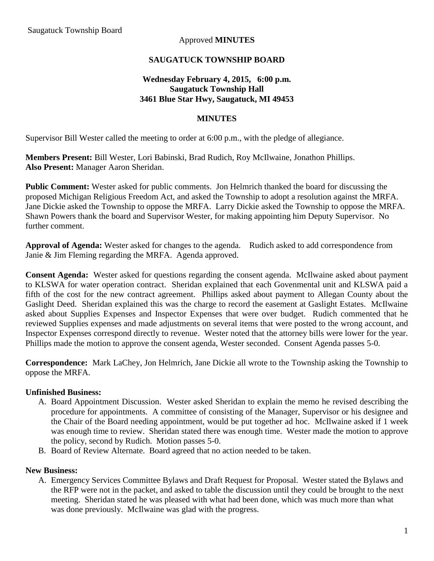## Approved **MINUTES**

## **SAUGATUCK TOWNSHIP BOARD**

## **Wednesday February 4, 2015, 6:00 p.m. Saugatuck Township Hall 3461 Blue Star Hwy, Saugatuck, MI 49453**

### **MINUTES**

Supervisor Bill Wester called the meeting to order at 6:00 p.m., with the pledge of allegiance.

**Members Present:** Bill Wester, Lori Babinski, Brad Rudich, Roy McIlwaine, Jonathon Phillips. **Also Present:** Manager Aaron Sheridan.

**Public Comment:** Wester asked for public comments. Jon Helmrich thanked the board for discussing the proposed Michigan Religious Freedom Act, and asked the Township to adopt a resolution against the MRFA. Jane Dickie asked the Township to oppose the MRFA. Larry Dickie asked the Township to oppose the MRFA. Shawn Powers thank the board and Supervisor Wester, for making appointing him Deputy Supervisor. No further comment.

**Approval of Agenda:** Wester asked for changes to the agenda. Rudich asked to add correspondence from Janie & Jim Fleming regarding the MRFA. Agenda approved.

**Consent Agenda:** Wester asked for questions regarding the consent agenda. McIlwaine asked about payment to KLSWA for water operation contract. Sheridan explained that each Govenmental unit and KLSWA paid a fifth of the cost for the new contract agreement. Phillips asked about payment to Allegan County about the Gaslight Deed. Sheridan explained this was the charge to record the easement at Gaslight Estates. McIlwaine asked about Supplies Expenses and Inspector Expenses that were over budget. Rudich commented that he reviewed Supplies expenses and made adjustments on several items that were posted to the wrong account, and Inspector Expenses correspond directly to revenue. Wester noted that the attorney bills were lower for the year. Phillips made the motion to approve the consent agenda, Wester seconded. Consent Agenda passes 5-0.

**Correspondence:** Mark LaChey, Jon Helmrich, Jane Dickie all wrote to the Township asking the Township to oppose the MRFA.

#### **Unfinished Business:**

- A. Board Appointment Discussion. Wester asked Sheridan to explain the memo he revised describing the procedure for appointments. A committee of consisting of the Manager, Supervisor or his designee and the Chair of the Board needing appointment, would be put together ad hoc. McIlwaine asked if 1 week was enough time to review. Sheridan stated there was enough time. Wester made the motion to approve the policy, second by Rudich. Motion passes 5-0.
- B. Board of Review Alternate. Board agreed that no action needed to be taken.

#### **New Business:**

A. Emergency Services Committee Bylaws and Draft Request for Proposal. Wester stated the Bylaws and the RFP were not in the packet, and asked to table the discussion until they could be brought to the next meeting. Sheridan stated he was pleased with what had been done, which was much more than what was done previously. McIlwaine was glad with the progress.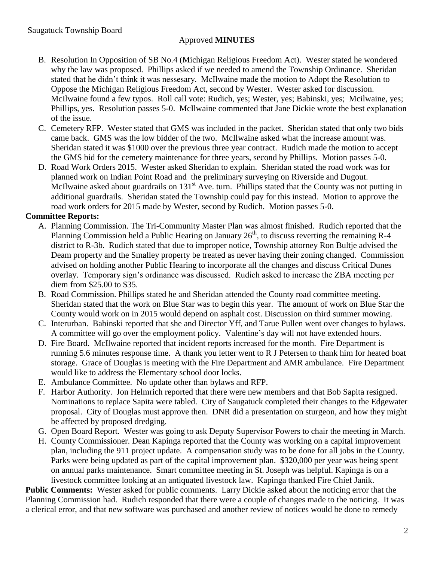## Approved **MINUTES**

- B. Resolution In Opposition of SB No.4 (Michigan Religious Freedom Act). Wester stated he wondered why the law was proposed. Phillips asked if we needed to amend the Township Ordinance. Sheridan stated that he didn't think it was nessesary. McIlwaine made the motion to Adopt the Resolution to Oppose the Michigan Religious Freedom Act, second by Wester. Wester asked for discussion. McIlwaine found a few typos. Roll call vote: Rudich, yes; Wester, yes; Babinski, yes; Mcilwaine, yes; Phillips, yes. Resolution passes 5-0. McIlwaine commented that Jane Dickie wrote the best explanation of the issue.
- C. Cemetery RFP. Wester stated that GMS was included in the packet. Sheridan stated that only two bids came back. GMS was the low bidder of the two. McIlwaine asked what the increase amount was. Sheridan stated it was \$1000 over the previous three year contract. Rudich made the motion to accept the GMS bid for the cemetery maintenance for three years, second by Phillips. Motion passes 5-0.
- D. Road Work Orders 2015. Wester asked Sheridan to explain. Sheridan stated the road work was for planned work on Indian Point Road and the preliminary surveying on Riverside and Dugout. McIlwaine asked about guardrails on 131<sup>st</sup> Ave. turn. Phillips stated that the County was not putting in additional guardrails. Sheridan stated the Township could pay for this instead. Motion to approve the road work orders for 2015 made by Wester, second by Rudich. Motion passes 5-0.

## **Committee Reports:**

- A. Planning Commission. The Tri-Community Master Plan was almost finished. Rudich reported that the Planning Commission held a Public Hearing on January  $26<sup>th</sup>$ , to discuss reverting the remaining R-4 district to R-3b. Rudich stated that due to improper notice, Township attorney Ron Bultje advised the Deam property and the Smalley property be treated as never having their zoning changed. Commission advised on holding another Public Hearing to incorporate all the changes and discuss Critical Dunes overlay. Temporary sign's ordinance was discussed. Rudich asked to increase the ZBA meeting per diem from \$25.00 to \$35.
- B. Road Commission. Phillips stated he and Sheridan attended the County road committee meeting. Sheridan stated that the work on Blue Star was to begin this year. The amount of work on Blue Star the County would work on in 2015 would depend on asphalt cost. Discussion on third summer mowing.
- C. Interurban. Babinski reported that she and Director Yff, and Tarue Pullen went over changes to bylaws. A committee will go over the employment policy. Valentine's day will not have extended hours.
- D. Fire Board. McIlwaine reported that incident reports increased for the month. Fire Department is running 5.6 minutes response time. A thank you letter went to R J Petersen to thank him for heated boat storage. Grace of Douglas is meeting with the Fire Department and AMR ambulance. Fire Department would like to address the Elementary school door locks.
- E. Ambulance Committee. No update other than bylaws and RFP.
- F. Harbor Authority. Jon Helmrich reported that there were new members and that Bob Sapita resigned. Nominations to replace Sapita were tabled. City of Saugatuck completed their changes to the Edgewater proposal. City of Douglas must approve then. DNR did a presentation on sturgeon, and how they might be affected by proposed dredging.
- G. Open Board Report. Wester was going to ask Deputy Supervisor Powers to chair the meeting in March.
- H. County Commissioner. Dean Kapinga reported that the County was working on a capital improvement plan, including the 911 project update. A compensation study was to be done for all jobs in the County. Parks were being updated as part of the capital improvement plan. \$320,000 per year was being spent on annual parks maintenance. Smart committee meeting in St. Joseph was helpful. Kapinga is on a livestock committee looking at an antiquated livestock law. Kapinga thanked Fire Chief Janik.

**Public Comments:** Wester asked for public comments. Larry Dickie asked about the noticing error that the Planning Commission had. Rudich responded that there were a couple of changes made to the noticing. It was a clerical error, and that new software was purchased and another review of notices would be done to remedy